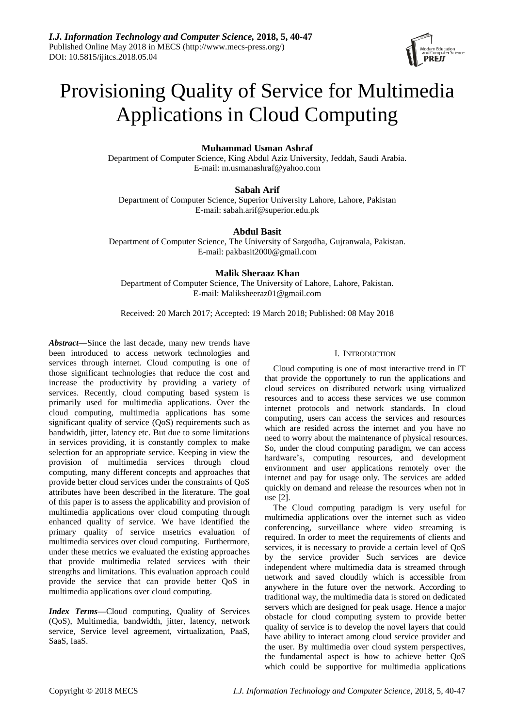

# Provisioning Quality of Service for Multimedia Applications in Cloud Computing

# **Muhammad Usman Ashraf**

Department of Computer Science, King Abdul Aziz University, Jeddah, Saudi Arabia. E-mail: [m.usmanashraf@yahoo.com](mailto:m.usmanashraf@yahoo.com)

# **Sabah Arif**

Department of Computer Science, Superior University Lahore, Lahore, Pakistan E-mail: sabah.arif@superior.edu.pk

# **Abdul Basit**

Department of Computer Science, The University of Sargodha, Gujranwala, Pakistan. E-mail: pakbasit2000@gmail.com

# **Malik Sheraaz Khan**

Department of Computer Science, The University of Lahore, Lahore, Pakistan. E-mail: Maliksheeraz01@gmail.com

Received: 20 March 2017; Accepted: 19 March 2018; Published: 08 May 2018

*Abstract***—**Since the last decade, many new trends have been introduced to access network technologies and services through internet. Cloud computing is one of those significant technologies that reduce the cost and increase the productivity by providing a variety of services. Recently, cloud computing based system is primarily used for multimedia applications. Over the cloud computing, multimedia applications has some significant quality of service (QoS) requirements such as bandwidth, jitter, latency etc. But due to some limitations in services providing, it is constantly complex to make selection for an appropriate service. Keeping in view the provision of multimedia services through cloud computing, many different concepts and approaches that provide better cloud services under the constraints of QoS attributes have been described in the literature. The goal of this paper is to assess the applicability and provision of multimedia applications over cloud computing through enhanced quality of service. We have identified the primary quality of service msetrics evaluation of multimedia services over cloud computing. Furthermore, under these metrics we evaluated the existing approaches that provide multimedia related services with their strengths and limitations. This evaluation approach could provide the service that can provide better QoS in multimedia applications over cloud computing.

*Index Terms—*Cloud computing, Quality of Services (QoS), Multimedia, bandwidth, jitter, latency, network service, Service level agreement, virtualization, PaaS, SaaS, IaaS.

# I. INTRODUCTION

Cloud computing is one of most interactive trend in IT that provide the opportunely to run the applications and cloud services on distributed network using virtualized resources and to access these services we use common internet protocols and network standards. In cloud computing, users can access the services and resources which are resided across the internet and you have no need to worry about the maintenance of physical resources. So, under the cloud computing paradigm, we can access hardware's, computing resources, and development environment and user applications remotely over the internet and pay for usage only. The services are added quickly on demand and release the resources when not in use [2].

The Cloud computing paradigm is very useful for multimedia applications over the internet such as video conferencing, surveillance where video streaming is required. In order to meet the requirements of clients and services, it is necessary to provide a certain level of QoS by the service provider Such services are device independent where multimedia data is streamed through network and saved cloudily which is accessible from anywhere in the future over the network. According to traditional way, the multimedia data is stored on dedicated servers which are designed for peak usage. Hence a major obstacle for cloud computing system to provide better quality of service is to develop the novel layers that could have ability to interact among cloud service provider and the user. By multimedia over cloud system perspectives, the fundamental aspect is how to achieve better QoS which could be supportive for multimedia applications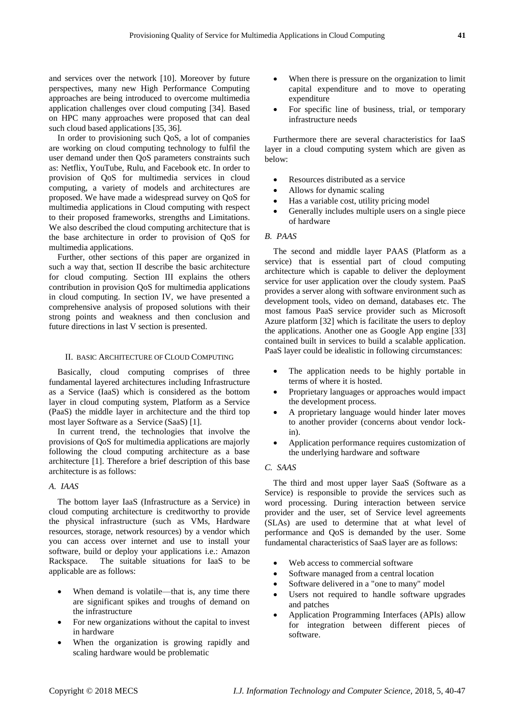and services over the network [10]. Moreover by future perspectives, many new High Performance Computing approaches are being introduced to overcome multimedia application challenges over cloud computing [34]. Based on HPC many approaches were proposed that can deal such cloud based applications [35, 36].

In order to provisioning such QoS, a lot of companies are working on cloud computing technology to fulfil the user demand under then QoS parameters constraints such as: Netflix, YouTube, Rulu, and Facebook etc. In order to provision of QoS for multimedia services in cloud computing, a variety of models and architectures are proposed. We have made a widespread survey on QoS for multimedia applications in Cloud computing with respect to their proposed frameworks, strengths and Limitations. We also described the cloud computing architecture that is the base architecture in order to provision of QoS for multimedia applications.

Further, other sections of this paper are organized in such a way that, section II describe the basic architecture for cloud computing. Section III explains the others contribution in provision QoS for multimedia applications in cloud computing. In section IV, we have presented a comprehensive analysis of proposed solutions with their strong points and weakness and then conclusion and future directions in last V section is presented.

### II. BASIC ARCHITECTURE OF CLOUD COMPUTING

Basically, cloud computing comprises of three fundamental layered architectures including Infrastructure as a Service (IaaS) which is considered as the bottom layer in cloud computing system, Platform as a Service (PaaS) the middle layer in architecture and the third top most layer Software as a Service (SaaS) [1].

In current trend, the technologies that involve the provisions of QoS for multimedia applications are majorly following the cloud computing architecture as a base architecture [1]. Therefore a brief description of this base architecture is as follows:

#### *A. IAAS*

The bottom layer IaaS (Infrastructure as a Service) in cloud computing architecture is creditworthy to provide the physical infrastructure (such as VMs, Hardware resources, storage, network resources) by a vendor which you can access over internet and use to install your software, build or deploy your applications i.e.: Amazon Rackspace. The suitable situations for IaaS to be applicable are as follows:

- When demand is volatile—that is, any time there are significant spikes and troughs of demand on the infrastructure
- For new organizations without the capital to invest in hardware
- When the organization is growing rapidly and scaling hardware would be problematic
- When there is pressure on the organization to limit capital expenditure and to move to operating expenditure
- For specific line of business, trial, or temporary infrastructure needs

Furthermore there are several characteristics for IaaS layer in a cloud computing system which are given as below:

- Resources distributed as a service
- Allows for dynamic scaling
- Has a variable cost, utility pricing model
- Generally includes multiple users on a single piece of hardware

# *B. PAAS*

The second and middle layer PAAS (Platform as a service) that is essential part of cloud computing architecture which is capable to deliver the deployment service for user application over the cloudy system. PaaS provides a server along with software environment such as development tools, video on demand, databases etc. The most famous PaaS service provider such as Microsoft Azure platform [32] which is facilitate the users to deploy the applications. Another one as Google App engine [33] contained built in services to build a scalable application. PaaS layer could be idealistic in following circumstances:

- The application needs to be highly portable in terms of where it is hosted.
- Proprietary languages or approaches would impact the development process.
- A proprietary language would hinder later moves to another provider (concerns about vendor lockin).
- Application performance requires customization of the underlying hardware and software

# *C. SAAS*

The third and most upper layer SaaS (Software as a Service) is responsible to provide the services such as word processing. During interaction between service provider and the user, set of Service level agreements (SLAs) are used to determine that at what level of performance and QoS is demanded by the user. Some fundamental characteristics of SaaS layer are as follows:

- Web access to commercial software
- Software managed from a central location
- Software delivered in a "one to many" model
- Users not required to handle software upgrades and patches
- Application Programming Interfaces (APIs) allow for integration between different pieces of software.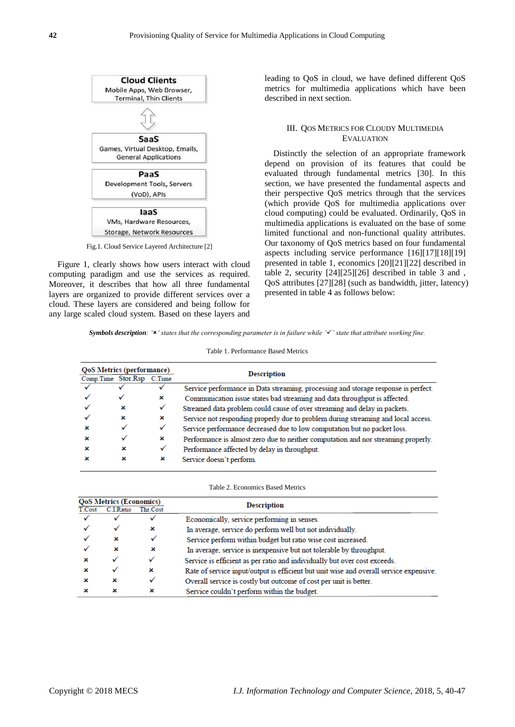

Fig.1. Cloud Service Layered Architecture [2]

Figure 1, clearly shows how users interact with cloud computing paradigm and use the services as required. Moreover, it describes that how all three fundamental layers are organized to provide different services over a cloud. These layers are considered and being follow for any large scaled cloud system. Based on these layers and leading to QoS in cloud, we have defined different QoS metrics for multimedia applications which have been described in next section.

## III. QOS METRICS FOR CLOUDY MULTIMEDIA EVALUATION

Distinctly the selection of an appropriate framework depend on provision of its features that could be evaluated through fundamental metrics [30]. In this section, we have presented the fundamental aspects and their perspective QoS metrics through that the services (which provide QoS for multimedia applications over cloud computing) could be evaluated. Ordinarily, QoS in multimedia applications is evaluated on the base of some limited functional and non-functional quality attributes. Our taxonomy of QoS metrics based on four fundamental aspects including service performance [16][17][18][19] presented in table 1, economics [20][21][22] described in table 2, security [24][25][26] described in table 3 and , QoS attributes [27][28] (such as bandwidth, jitter, latency) presented in table 4 as follows below:

*Symbols description: '' states that the corresponding parameter is in failure while '' state that attribute working fine.*

| <b>QoS Metrics (performance)</b> |   |   | <b>Description</b>                                                                 |  |  |
|----------------------------------|---|---|------------------------------------------------------------------------------------|--|--|
| Comp.Time Stor.Rsp C.Time        |   |   |                                                                                    |  |  |
|                                  |   |   | Service performance in Data streaming, processing and storage response is perfect. |  |  |
|                                  | ✓ | × | Communication issue states bad streaming and data throughput is affected.          |  |  |
|                                  | × | ✓ | Streamed data problem could cause of over streaming and delay in packets.          |  |  |
|                                  | × | × | Service not responding properly due to problem during streaming and local access.  |  |  |
|                                  |   | ✓ | Service performance decreased due to low computation but no packet loss.           |  |  |
|                                  |   | × | Performance is almost zero due to neither computation and nor streaming properly.  |  |  |
|                                  | × | √ | Performance affected by delay in throughput.                                       |  |  |
|                                  | × | × | Service doesn't perform.                                                           |  |  |

|        | <b>QoS Metrics (Economics)</b> |          | Description                                                                            |  |
|--------|--------------------------------|----------|----------------------------------------------------------------------------------------|--|
| T.Cost | C.I.Ratio                      | Thr.Cost |                                                                                        |  |
|        |                                |          | Economically, service performing in senses.                                            |  |
|        |                                | ×        | In average, service do perform well but not individually.                              |  |
|        | ×                              |          | Service perform within budget but ratio wise cost increased.                           |  |
|        | ×                              | ×        | In average, service is inexpensive but not tolerable by throughput.                    |  |
|        |                                |          | Service is efficient as per ratio and individually but over cost exceeds.              |  |
|        |                                | ×        | Rate of service input/output is efficient but unit wise and overall service expensive. |  |
|        | ×                              |          | Overall service is costly but outcome of cost per unit is better.                      |  |
|        | ×                              | ×        | Service couldn't perform within the budget.                                            |  |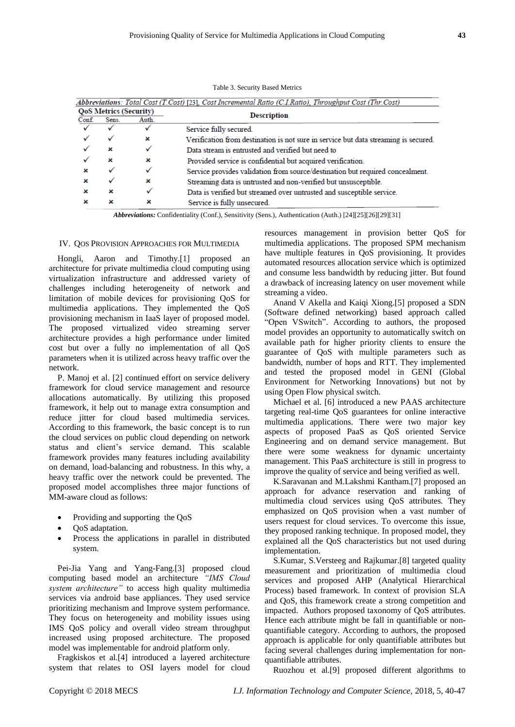| <b>QoS Metrics (Security)</b> |                |              | <b>Description</b>                                                                  |  |
|-------------------------------|----------------|--------------|-------------------------------------------------------------------------------------|--|
| Conf.                         | Sens.<br>Auth. |              |                                                                                     |  |
|                               |                | $\checkmark$ | Service fully secured.                                                              |  |
|                               | ✓              | ×            | Verification from destination is not sure in service but data streaming is secured. |  |
|                               | ×              |              | Data stream is entrusted and verified but need to                                   |  |
|                               | ×              | ×            | Provided service is confidential but acquired verification.                         |  |
| ×                             | ✓              | ✓            | Service provides validation from source/destination but required concealment.       |  |
| ×                             |                | ×            | Streaming data is untrusted and non-verified but unsusceptible.                     |  |
| ×                             | ×              | ✓            | Data is verified but streamed over untrusted and susceptible service.               |  |
| ×                             | ×              | ×            | Service is fully unsecured.                                                         |  |

Table 3. Security Based Metrics

*Abbreviations:* Confidentiality (Conf.), Sensitivity (Sens.), Authentication (Auth.) [24][25][26][29][31]

#### IV. QOS PROVISION APPROACHES FOR MULTIMEDIA

Hongli, Aaron and Timothy.[1] proposed an architecture for private multimedia cloud computing using virtualization infrastructure and addressed variety of challenges including heterogeneity of network and limitation of mobile devices for provisioning QoS for multimedia applications. They implemented the QoS provisioning mechanism in IaaS layer of proposed model. The proposed virtualized video streaming server architecture provides a high performance under limited cost but over a fully no implementation of all QoS parameters when it is utilized across heavy traffic over the network.

P. Manoj et al. [2] continued effort on service delivery framework for cloud service management and resource allocations automatically. By utilizing this proposed framework, it help out to manage extra consumption and reduce jitter for cloud based multimedia services. According to this framework, the basic concept is to run the cloud services on public cloud depending on network status and client's service demand. This scalable framework provides many features including availability on demand, load-balancing and robustness. In this why, a heavy traffic over the network could be prevented. The proposed model accomplishes three major functions of MM-aware cloud as follows:

- Providing and supporting the QoS
- QoS adaptation.
- Process the applications in parallel in distributed system.

Pei-Jia Yang and Yang-Fang.[3] proposed cloud computing based model an architecture *"IMS Cloud system architecture"* to access high quality multimedia services via android base appliances. They used service prioritizing mechanism and Improve system performance. They focus on heterogeneity and mobility issues using IMS QoS policy and overall video stream throughput increased using proposed architecture. The proposed model was implementable for android platform only.

Fragkiskos et al.[4] introduced a layered architecture system that relates to OSI layers model for cloud resources management in provision better QoS for multimedia applications. The proposed SPM mechanism have multiple features in QoS provisioning. It provides automated resources allocation service which is optimized and consume less bandwidth by reducing jitter. But found a drawback of increasing latency on user movement while streaming a video.

Anand V Akella and Kaiqi Xiong.[5] proposed a SDN (Software defined networking) based approach called "Open VSwitch". According to authors, the proposed model provides an opportunity to automatically switch on available path for higher priority clients to ensure the guarantee of QoS with multiple parameters such as bandwidth, number of hops and RTT. They implemented and tested the proposed model in GENI (Global Environment for Networking Innovations) but not by using Open Flow physical switch.

Michael et al. [6] introduced a new PAAS architecture targeting real-time QoS guarantees for online interactive multimedia applications. There were two major key aspects of proposed PaaS as QoS oriented Service Engineering and on demand service management. But there were some weakness for dynamic uncertainty management. This PaaS architecture is still in progress to improve the quality of service and being verified as well.

K.Saravanan and M.Lakshmi Kantham.[7] proposed an approach for advance reservation and ranking of multimedia cloud services using QoS attributes. They emphasized on QoS provision when a vast number of users request for cloud services. To overcome this issue, they proposed ranking technique. In proposed model, they explained all the QoS characteristics but not used during implementation.

S.Kumar, S.Versteeg and Rajkumar.[8] targeted quality measurement and prioritization of multimedia cloud services and proposed AHP (Analytical Hierarchical Process) based framework. In context of provision SLA and QoS, this framework create a strong competition and impacted. Authors proposed taxonomy of QoS attributes. Hence each attribute might be fall in quantifiable or nonquantifiable category. According to authors, the proposed approach is applicable for only quantifiable attributes but facing several challenges during implementation for nonquantifiable attributes.

Ruozhou et al.[9] proposed different algorithms to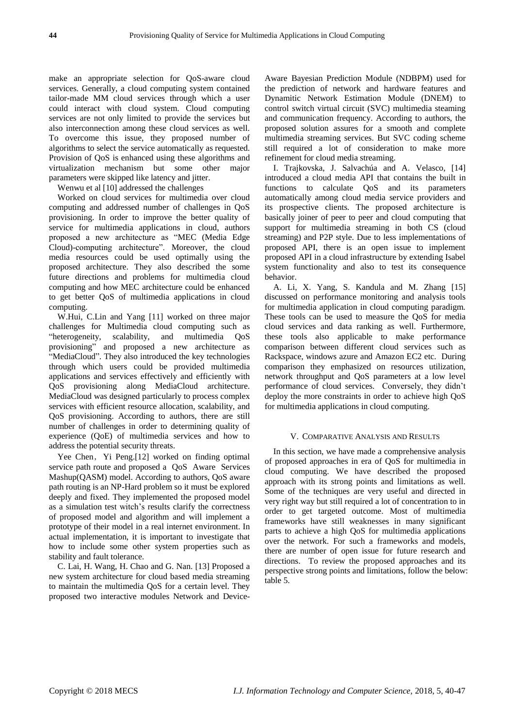make an appropriate selection for QoS-aware cloud services. Generally, a cloud computing system contained tailor-made MM cloud services through which a user could interact with cloud system. Cloud computing services are not only limited to provide the services but also interconnection among these cloud services as well. To overcome this issue, they proposed number of algorithms to select the service automatically as requested. Provision of QoS is enhanced using these algorithms and virtualization mechanism but some other major parameters were skipped like latency and jitter.

Wenwu et al [10] addressed the challenges

Worked on cloud services for multimedia over cloud computing and addressed number of challenges in QoS provisioning. In order to improve the better quality of service for multimedia applications in cloud, authors proposed a new architecture as "MEC (Media Edge Cloud)-computing architecture". Moreover, the cloud media resources could be used optimally using the proposed architecture. They also described the some future directions and problems for multimedia cloud computing and how MEC architecture could be enhanced to get better QoS of multimedia applications in cloud computing.

W.Hui, C.Lin and Yang [11] worked on three major challenges for Multimedia cloud computing such as "heterogeneity, scalability, and multimedia QoS provisioning" and proposed a new architecture as "MediaCloud". They also introduced the key technologies through which users could be provided multimedia applications and services effectively and efficiently with QoS provisioning along MediaCloud architecture. MediaCloud was designed particularly to process complex services with efficient resource allocation, scalability, and QoS provisioning. According to authors, there are still number of challenges in order to determining quality of experience (QoE) of multimedia services and how to address the potential security threats.

Yee Chen, Yi Peng.[12] worked on finding optimal service path route and proposed a QoS Aware Services Mashup(QASM) model. According to authors, QoS aware path routing is an NP-Hard problem so it must be explored deeply and fixed. They implemented the proposed model as a simulation test witch's results clarify the correctness of proposed model and algorithm and will implement a prototype of their model in a real internet environment. In actual implementation, it is important to investigate that how to include some other system properties such as stability and fault tolerance.

C. Lai, H. Wang, H. Chao and G. Nan. [13] Proposed a new system architecture for cloud based media streaming to maintain the multimedia QoS for a certain level. They proposed two interactive modules Network and DeviceAware Bayesian Prediction Module (NDBPM) used for the prediction of network and hardware features and Dynamitic Network Estimation Module (DNEM) to control switch virtual circuit (SVC) multimedia steaming and communication frequency. According to authors, the proposed solution assures for a smooth and complete multimedia streaming services. But SVC coding scheme still required a lot of consideration to make more refinement for cloud media streaming.

I. Trajkovska, J. Salvachúa and A. Velasco, [14] introduced a cloud media API that contains the built in functions to calculate QoS and its parameters automatically among cloud media service providers and its prospective clients. The proposed architecture is basically joiner of peer to peer and cloud computing that support for multimedia streaming in both CS (cloud streaming) and P2P style. Due to less implementations of proposed API, there is an open issue to implement proposed API in a cloud infrastructure by extending Isabel system functionality and also to test its consequence behavior.

A. Li, X. Yang, S. Kandula and M. Zhang [15] discussed on performance monitoring and analysis tools for multimedia application in cloud computing paradigm. These tools can be used to measure the QoS for media cloud services and data ranking as well. Furthermore, these tools also applicable to make performance comparison between different cloud services such as Rackspace, windows azure and Amazon EC2 etc. During comparison they emphasized on resources utilization, network throughput and QoS parameters at a low level performance of cloud services. Conversely, they didn't deploy the more constraints in order to achieve high QoS for multimedia applications in cloud computing.

# V. COMPARATIVE ANALYSIS AND RESULTS

In this section, we have made a comprehensive analysis of proposed approaches in era of QoS for multimedia in cloud computing. We have described the proposed approach with its strong points and limitations as well. Some of the techniques are very useful and directed in very right way but still required a lot of concentration to in order to get targeted outcome. Most of multimedia frameworks have still weaknesses in many significant parts to achieve a high QoS for multimedia applications over the network. For such a frameworks and models, there are number of open issue for future research and directions. To review the proposed approaches and its perspective strong points and limitations, follow the below: table 5.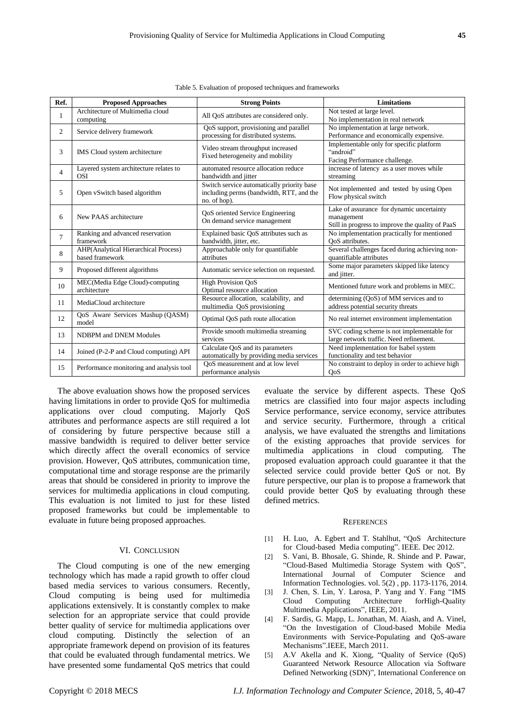| $\overline{2}$ | Service delivery framework                                                                                                                                                                                                                                                                 | QoS support, provisioning and parallel<br>processing for distributed systems.                          | No implementation at large network.<br>Performance and economically expensive.                                                                                                                                                                                                               |  |  |  |  |
|----------------|--------------------------------------------------------------------------------------------------------------------------------------------------------------------------------------------------------------------------------------------------------------------------------------------|--------------------------------------------------------------------------------------------------------|----------------------------------------------------------------------------------------------------------------------------------------------------------------------------------------------------------------------------------------------------------------------------------------------|--|--|--|--|
| 3              | IMS Cloud system architecture                                                                                                                                                                                                                                                              | Video stream throughput increased<br>Fixed heterogeneity and mobility                                  | Implementable only for specific platform<br>"android"<br>Facing Performance challenge.                                                                                                                                                                                                       |  |  |  |  |
| $\overline{4}$ | Layered system architecture relates to<br><b>OSI</b>                                                                                                                                                                                                                                       | automated resource allocation reduce<br>bandwidth and jitter                                           | increase of latency as a user moves while<br>streaming                                                                                                                                                                                                                                       |  |  |  |  |
| 5              | Open vSwitch based algorithm                                                                                                                                                                                                                                                               | Switch service automatically priority base<br>including perms (bandwidth, RTT, and the<br>no. of hop). | Not implemented and tested by using Open<br>Flow physical switch                                                                                                                                                                                                                             |  |  |  |  |
| 6              | New PAAS architecture                                                                                                                                                                                                                                                                      | QoS oriented Service Engineering<br>On demand service management                                       | Lake of assurance for dynamic uncertainty<br>management<br>Still in progress to improve the quality of PaaS                                                                                                                                                                                  |  |  |  |  |
| $\tau$         | Ranking and advanced reservation<br>framework                                                                                                                                                                                                                                              | Explained basic QoS attributes such as<br>bandwidth, jitter, etc.                                      | No implementation practically for mentioned<br>OoS attributes.                                                                                                                                                                                                                               |  |  |  |  |
| 8              | AHP(Analytical Hierarchical Process)<br>based framework                                                                                                                                                                                                                                    | Approachable only for quantifiable<br>attributes                                                       | Several challenges faced during achieving non-<br>quantifiable attributes                                                                                                                                                                                                                    |  |  |  |  |
| 9              | Proposed different algorithms                                                                                                                                                                                                                                                              | Automatic service selection on requested.                                                              | Some major parameters skipped like latency<br>and jitter.                                                                                                                                                                                                                                    |  |  |  |  |
| 10             | MEC(Media Edge Cloud)-computing<br>architecture                                                                                                                                                                                                                                            | <b>High Provision OoS</b><br>Optimal resource allocation                                               | Mentioned future work and problems in MEC.                                                                                                                                                                                                                                                   |  |  |  |  |
| 11             | MediaCloud architecture                                                                                                                                                                                                                                                                    | Resource allocation, scalability, and<br>multimedia QoS provisioning                                   | determining (QoS) of MM services and to<br>address potential security threats                                                                                                                                                                                                                |  |  |  |  |
| 12             | QoS Aware Services Mashup (QASM)<br>model                                                                                                                                                                                                                                                  | Optimal QoS path route allocation                                                                      | No real internet environment implementation                                                                                                                                                                                                                                                  |  |  |  |  |
| 13             | NDBPM and DNEM Modules                                                                                                                                                                                                                                                                     | Provide smooth multimedia streaming<br>services                                                        | SVC coding scheme is not implementable for<br>large network traffic. Need refinement.                                                                                                                                                                                                        |  |  |  |  |
| 14             | Joined (P-2-P and Cloud computing) API                                                                                                                                                                                                                                                     | Calculate QoS and its parameters<br>automatically by providing media services                          | Need implementation for Isabel system<br>functionality and test behavior                                                                                                                                                                                                                     |  |  |  |  |
| 15             | Performance monitoring and analysis tool                                                                                                                                                                                                                                                   | OoS measurement and at low level<br>performance analysis                                               | No constraint to deploy in order to achieve high<br>OoS                                                                                                                                                                                                                                      |  |  |  |  |
|                | The above evaluation shows how the proposed services<br>having limitations in order to provide QoS for multimedia<br>applications over cloud computing. Majorly QoS<br>attributes and performance aspects are still required a lot<br>of considering by future perspective because still a |                                                                                                        | evaluate the service by different aspects. These Qc<br>metrics are classified into four major aspects includir<br>Service performance, service economy, service attribute<br>and service security. Furthermore, through a critic<br>analysis, we have evaluated the strengths and limitation |  |  |  |  |
|                |                                                                                                                                                                                                                                                                                            |                                                                                                        |                                                                                                                                                                                                                                                                                              |  |  |  |  |

Table 5. Evaluation of proposed techniques and frameworks

**Ref. Proposed Approaches Strong Points Limitations**

Architecture of Multimedia cloud<br>
Conputing All QoS attributes are considered only.<br>
No implementation in respectively.

massive bandwidth is required to deliver better service which directly affect the overall economics of service provision. However, QoS attributes, communication time, computational time and storage response are the primarily areas that should be considered in priority to improve the services for multimedia applications in cloud computing. This evaluation is not limited to just for these listed proposed frameworks but could be implementable to evaluate in future being proposed approaches.

#### VI. CONCLUSION

The Cloud computing is one of the new emerging technology which has made a rapid growth to offer cloud based media services to various consumers. Recently, Cloud computing is being used for multimedia applications extensively. It is constantly complex to make selection for an appropriate service that could provide better quality of service for multimedia applications over cloud computing. Distinctly the selection of an appropriate framework depend on provision of its features that could be evaluated through fundamental metrics. We have presented some fundamental QoS metrics that could

evaluate the service by different aspects. These QoS metrics are classified into four major aspects including Service performance, service economy, service attributes and service security. Furthermore, through a critical analysis, we have evaluated the strengths and limitations of the existing approaches that provide services for multimedia applications in cloud computing. The proposed evaluation approach could guarantee it that the selected service could provide better QoS or not. By future perspective, our plan is to propose a framework that could provide better QoS by evaluating through these defined metrics.

No implementation in real network

#### **REFERENCES**

- [1] H. Luo, A. Egbert and T. Stahlhut, "QoS Architecture for Cloud-based Media computing". IEEE. Dec 2012.
- [2] S. Vani, B. Bhosale, G. Shinde, R. Shinde and P. Pawar, "Cloud-Based Multimedia Storage System with QoS", International Journal of Computer Science and Information Technologies. vol. 5(2) , pp. 1173-1176, 2014.
- [3] J. Chen, S. Lin, Y. Larosa, P. Yang and Y. Fang "IMS Cloud Computing Architecture forHigh-Quality Multimedia Applications", IEEE, 2011.
- [4] F. Sardis, G. Mapp, L. Jonathan, M. Aiash, and A. Vinel, "On the Investigation of Cloud-based Mobile Media Environments with Service-Populating and QoS-aware Mechanisms".IEEE, March 2011.
- [5] A.V Akella and K. Xiong, "Quality of Service (QoS) Guaranteed Network Resource Allocation via Software Defined Networking (SDN)", International Conference on

1

Architecture of Multimedia cloud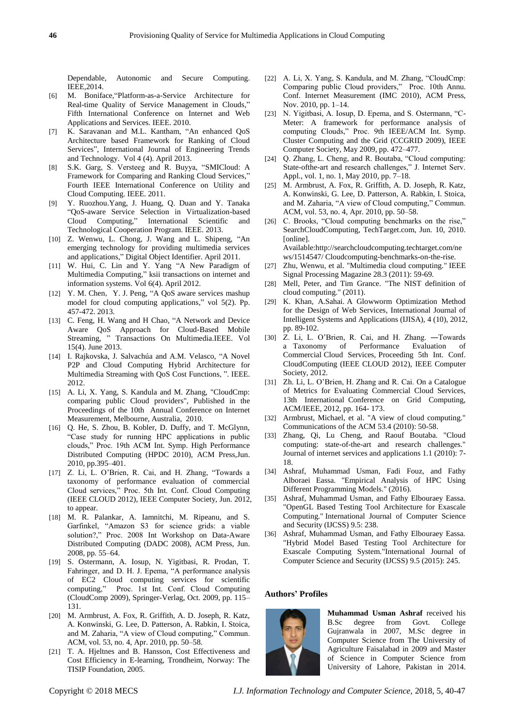Dependable, Autonomic and Secure Computing. IEEE,2014.

- [6] M. Boniface,"Platform-as-a-Service Architecture for Real-time Quality of Service Management in Clouds," Fifth International Conference on Internet and Web Applications and Services. IEEE. 2010.
- [7] K. Saravanan and M.L. Kantham, "An enhanced QoS Architecture based Framework for Ranking of Cloud Services", International Journal of Engineering Trends and Technology. Vol 4 (4). April 2013.
- [8] S.K. Garg, S. Versteeg and R. Buyya, "SMICloud: A Framework for Comparing and Ranking Cloud Services," Fourth IEEE International Conference on Utility and Cloud Computing. IEEE. 2011.
- [9] Y. Ruozhou.Yang, J. Huang, Q. Duan and Y. Tanaka "QoS-aware Service Selection in Virtualization-based Cloud Computing," International Scientific and Technological Cooperation Program. IEEE. 2013.
- [10] Z. Wenwu, L. Chong, J. Wang and L. Shipeng, "An emerging technology for providing multimedia services and applications," Digital Object Identifier. April 2011.
- [11] W. Hui, C. Lin and Y. Yang "A New Paradigm of Multimedia Computing," ksii transactions on internet and information systems. Vol 6(4). April 2012.
- [12] Y. M. Chen, Y. J. Peng, "A QoS aware services mashup model for cloud computing applications," vol 5(2). Pp. 457-472. 2013.
- [13] C. Feng, H. Wang and H Chao, "A Network and Device Aware QoS Approach for Cloud-Based Mobile Streaming, " Transactions On Multimedia.IEEE. Vol 15(4). June 2013.
- [14] I. Rajkovska, J. Salvach úa and A.M. Velasco, "A Novel P2P and Cloud Computing Hybrid Architecture for Multimedia Streaming with QoS Cost Functions, ". IEEE. 2012.
- [15] A. Li, X. Yang, S. Kandula and M. Zhang, "CloudCmp: comparing public Cloud providers", Published in the Proceedings of the 10th Annual Conference on Internet Measurement, Melbourne, Australia, 2010.
- [16] Q. He, S. Zhou, B. Kobler, D. Duffy, and T. McGlynn, "Case study for running HPC applications in public clouds," Proc. 19th ACM Int. Symp. High Performance Distributed Computing (HPDC 2010), ACM Press,Jun. 2010, pp.395–401.
- [17] Z. Li, L. O'Brien, R. Cai, and H. Zhang, "Towards a taxonomy of performance evaluation of commercial Cloud services," Proc. 5th Int. Conf. Cloud Computing (IEEE CLOUD 2012), IEEE Computer Society, Jun. 2012, to appear.
- [18] M. R. Palankar, A. Iamnitchi, M. Ripeanu, and S. Garfinkel, "Amazon S3 for science grids: a viable solution?," Proc. 2008 Int Workshop on Data-Aware Distributed Computing (DADC 2008), ACM Press, Jun. 2008, pp. 55–64.
- [19] S. Ostermann, A. Iosup, N. Yigitbasi, R. Prodan, T. Fahringer, and D. H. J. Epema, "A performance analysis of EC2 Cloud computing services for scientific computing," Proc. 1st Int. Conf. Cloud Computing (CloudComp 2009), Springer-Verlag, Oct. 2009, pp. 115– 131.
- [20] M. Armbrust, A. Fox, R. Griffith, A. D. Joseph, R. Katz, A. Konwinski, G. Lee, D. Patterson, A. Rabkin, I. Stoica, and M. Zaharia, "A view of Cloud computing," Commun. ACM, vol. 53, no. 4, Apr. 2010, pp. 50–58.
- [21] T. A. Hjeltnes and B. Hansson, Cost Effectiveness and Cost Efficiency in E-learning, Trondheim, Norway: The TISIP Foundation, 2005.
- [22] A. Li, X. Yang, S. Kandula, and M. Zhang, "CloudCmp: Comparing public Cloud providers," Proc. 10th Annu. Conf. Internet Measurement (IMC 2010), ACM Press, Nov. 2010, pp. 1–14.
- [23] N. Yigitbasi, A. Iosup, D. Epema, and S. Ostermann, "C-Meter: A framework for performance analysis of computing Clouds," Proc. 9th IEEE/ACM Int. Symp. Cluster Computing and the Grid (CCGRID 2009), IEEE Computer Society, May 2009, pp. 472–477.
- [24] Q. Zhang, L. Cheng, and R. Boutaba, "Cloud computing: State-ofthe-art and research challenges," J. Internet Serv. Appl., vol. 1, no. 1, May 2010, pp. 7–18.
- [25] M. Armbrust, A. Fox, R. Griffith, A. D. Joseph, R. Katz, A. Konwinski, G. Lee, D. Patterson, A. Rabkin, I. Stoica, and M. Zaharia, "A view of Cloud computing," Commun. ACM, vol. 53, no. 4, Apr. 2010, pp. 50–58.
- [26] C. Brooks, "Cloud computing benchmarks on the rise," SearchCloudComputing, TechTarget.com, Jun. 10, 2010. [online]. Available[:http://searchcloudcomputing.techtarget.com/ne](http://searchcloudcomputing.techtarget.com/news/1514547/%20Cloudcomputing-benchmarks-on-the-rise)

[ws/1514547/ Cloudcomputing-benchmarks-on-the-rise.](http://searchcloudcomputing.techtarget.com/news/1514547/%20Cloudcomputing-benchmarks-on-the-rise)

- [27] Zhu, Wenwu, et al. "Multimedia cloud computing." IEEE Signal Processing Magazine 28.3 (2011): 59-69.
- [28] Mell, Peter, and Tim Grance. "The NIST definition of cloud computing." (2011).
- [29] K. Khan, A.Sahai. A Glowworm Optimization Method for the Design of Web Services, International Journal of Intelligent Systems and Applications (IJISA), 4 (10), 2012, pp. 89-102.
- [30] Z. Li, L. O'Brien, R. Cai, and H. Zhang. ―Towards a Taxonomy of Performance Evaluation of Commercial Cloud Services, Proceeding 5th Int. Conf. CloudComputing (IEEE CLOUD 2012), IEEE Computer Society, 2012.
- [31] Zh. Li, L. O'Brien, H. Zhang and R. Cai. On a Catalogue of Metrics for Evaluating Commercial Cloud Services, 13th International Conference on Grid Computing, ACM/IEEE, 2012, pp. 164- 173.
- [32] Armbrust, Michael, et al. "A view of cloud computing." Communications of the ACM 53.4 (2010): 50-58.
- [33] Zhang, Qi, Lu Cheng, and Raouf Boutaba. "Cloud computing: state-of-the-art and research challenges." Journal of internet services and applications 1.1 (2010): 7- 18.
- [34] Ashraf, Muhammad Usman, Fadi Fouz, and Fathy Alboraei Eassa. "Empirical Analysis of HPC Using Different Programming Models." (2016).
- [35] Ashraf, Muhammad Usman, and Fathy Elbouraey Eassa. "OpenGL Based Testing Tool Architecture for Exascale Computing." International Journal of Computer Science and Security (IJCSS) 9.5: 238.
- [36] Ashraf, Muhammad Usman, and Fathy Elbouraey Eassa. "Hybrid Model Based Testing Tool Architecture for Exascale Computing System."International Journal of Computer Science and Security (IJCSS) 9.5 (2015): 245.

## **Authors' Profiles**



**Muhammad Usman Ashraf** received his B.Sc degree from Govt. College Gujranwala in 2007, M.Sc degree in Computer Science from The University of Agriculture Faisalabad in 2009 and Master of Science in Computer Science from University of Lahore, Pakistan in 2014.